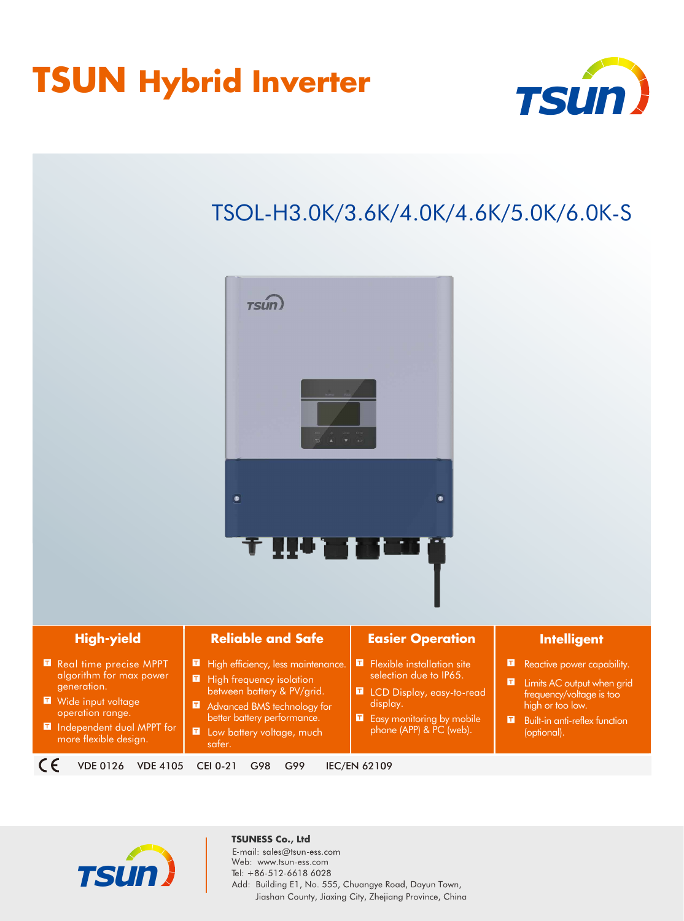## **TSUN Hybrid Inverter**



## TSOL-H3.0K/3.6K/4.0K/4.6K/5.0K/6.0K-S







**TSUNESS Co., Ltd**E-mail: sales@tsun-ess.com Web: www.tsun-ess.com Tel: +86-512-6618 6028 Add: Building E1, No. 555, Chuangye Road, Dayun Town, Jiashan County, Jiaxing City, Zhejiang Province, China